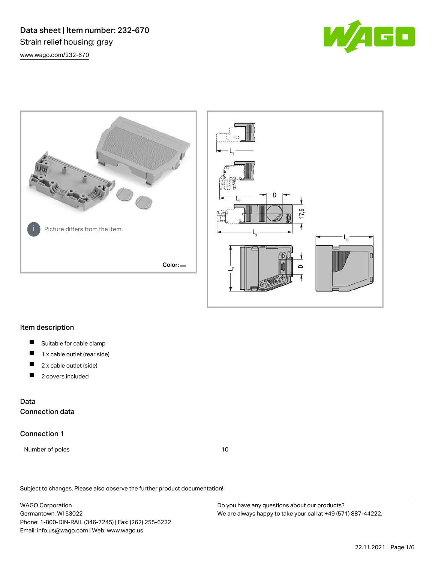Data sheet | Item number: 232-670 Strain relief housing; gray [www.wago.com/232-670](http://www.wago.com/232-670)







## Item description

- $\blacksquare$ Suitable for cable clamp
- П 1 x cable outlet (rear side)
- П 2 x cable outlet (side)
- 2 covers included П

## Data Connection data

## Connection 1

Number of poles 10

Subject to changes. Please also observe the further product documentation!

WAGO Corporation Germantown, WI 53022 Phone: 1-800-DIN-RAIL (346-7245) | Fax: (262) 255-6222 Email: info.us@wago.com | Web: www.wago.us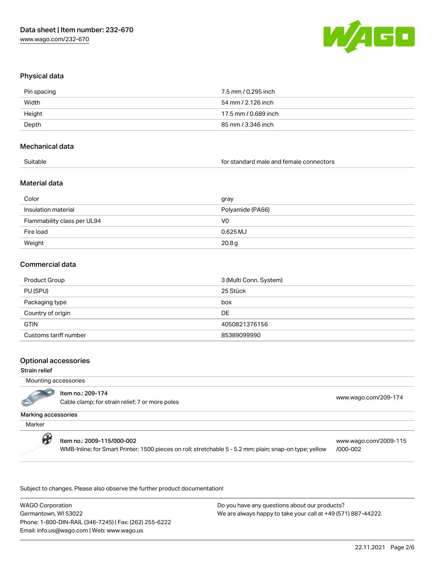

## Physical data

| Pin spacing | 7.5 mm / 0.295 inch  |
|-------------|----------------------|
| Width       | 54 mm / 2.126 inch   |
| Height      | 17.5 mm / 0.689 inch |
| Depth       | 85 mm / 3.346 inch   |
|             |                      |

#### Mechanical data

| Suitable |
|----------|
|          |

for standard male and female connectors

## Material data

| Color                       | gray              |
|-----------------------------|-------------------|
| Insulation material         | Polyamide (PA66)  |
| Flammability class per UL94 | V <sub>0</sub>    |
| Fire load                   | $0.625$ MJ        |
| Weight                      | 20.8 <sub>g</sub> |

### Commercial data

| Product Group         | 3 (Multi Conn. System) |
|-----------------------|------------------------|
| PU (SPU)              | 25 Stück               |
| Packaging type        | box                    |
| Country of origin     | DE                     |
| <b>GTIN</b>           | 4050821376156          |
| Customs tariff number | 85389099990            |

nem no.. 209-174<br>Cable clamp; for strain relief; 7 or more poles [www.wago.com/209-174](http://www.wago.com/209-174)

### Optional accessories

### Strain relief

Mounting accessories

#### Marking accessories

**Marker** 

#### Item no.: 2009-115/000-002

Item no.: 209-174

WMB-Inline; for Smart Printer; 1500 pieces on roll; stretchable 5 - 5.2 mm; plain; snap-on type; yellow

[www.wago.com/2009-115](http://www.wago.com/2009-115/000-002) [/000-002](http://www.wago.com/2009-115/000-002)

Subject to changes. Please also observe the further product documentation!

WAGO Corporation Germantown, WI 53022 Phone: 1-800-DIN-RAIL (346-7245) | Fax: (262) 255-6222 Email: info.us@wago.com | Web: www.wago.us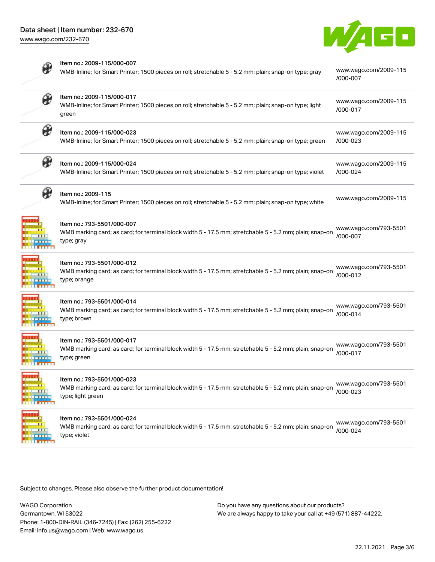Item no.: 2009-115/000-007

[www.wago.com/232-670](http://www.wago.com/232-670)





| $\sigma$   | WMB-Inline; for Smart Printer; 1500 pieces on roll; stretchable 5 - 5.2 mm; plain; snap-on type; gray                                                      | www.wago.com/2009-115<br>/000-007 |
|------------|------------------------------------------------------------------------------------------------------------------------------------------------------------|-----------------------------------|
| ₩          | Item no.: 2009-115/000-017<br>WMB-Inline; for Smart Printer; 1500 pieces on roll; stretchable 5 - 5.2 mm; plain; snap-on type; light<br>green              | www.wago.com/2009-115<br>/000-017 |
| ₩          | Item no.: 2009-115/000-023<br>WMB-Inline; for Smart Printer; 1500 pieces on roll; stretchable 5 - 5.2 mm; plain; snap-on type; green                       | www.wago.com/2009-115<br>/000-023 |
| $\theta$   | Item no.: 2009-115/000-024<br>WMB-Inline; for Smart Printer; 1500 pieces on roll; stretchable 5 - 5.2 mm; plain; snap-on type; violet                      | www.wago.com/2009-115<br>/000-024 |
| H          | Item no.: 2009-115<br>WMB-Inline; for Smart Printer; 1500 pieces on roll; stretchable 5 - 5.2 mm; plain; snap-on type; white                               | www.wago.com/2009-115             |
|            | Item no.: 793-5501/000-007<br>WMB marking card; as card; for terminal block width 5 - 17.5 mm; stretchable 5 - 5.2 mm; plain; snap-on<br>type; gray        | www.wago.com/793-5501<br>/000-007 |
|            | Item no.: 793-5501/000-012<br>WMB marking card; as card; for terminal block width 5 - 17.5 mm; stretchable 5 - 5.2 mm; plain; snap-on<br>type; orange      | www.wago.com/793-5501<br>/000-012 |
|            | Item no.: 793-5501/000-014<br>WMB marking card; as card; for terminal block width 5 - 17.5 mm; stretchable 5 - 5.2 mm; plain; snap-on<br>type; brown       | www.wago.com/793-5501<br>/000-014 |
|            | Item no.: 793-5501/000-017<br>WMB marking card; as card; for terminal block width 5 - 17.5 mm; stretchable 5 - 5.2 mm; plain; snap-on<br>type; green       | www.wago.com/793-5501<br>/000-017 |
| <b>TIL</b> | Item no.: 793-5501/000-023<br>WMB marking card; as card; for terminal block width 5 - 17.5 mm; stretchable 5 - 5.2 mm; plain; snap-on<br>type; light green | www.wago.com/793-5501<br>/000-023 |
|            | Item no.: 793-5501/000-024<br>WMB marking card; as card; for terminal block width 5 - 17.5 mm; stretchable 5 - 5.2 mm; plain; snap-on<br>type; violet      | www.wago.com/793-5501<br>/000-024 |

Subject to changes. Please also observe the further product documentation!

WAGO Corporation Germantown, WI 53022 Phone: 1-800-DIN-RAIL (346-7245) | Fax: (262) 255-6222 Email: info.us@wago.com | Web: www.wago.us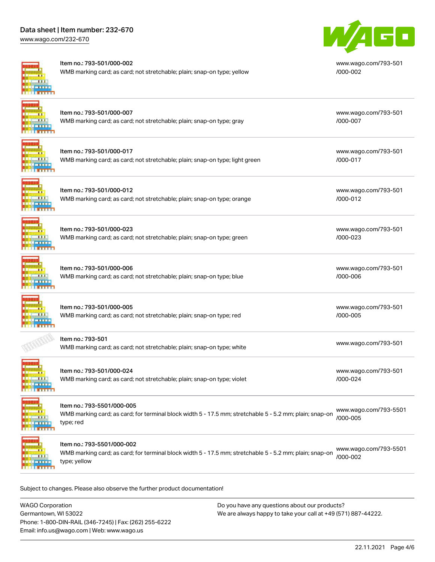## Data sheet | Item number: 232-670

[www.wago.com/232-670](http://www.wago.com/232-670)



#### Item no.: 793-501/000-002

WMB marking card; as card; not stretchable; plain; snap-on type; yellow



[www.wago.com/793-501](http://www.wago.com/793-501/000-002) [/000-002](http://www.wago.com/793-501/000-002)

[www.wago.com/793-501](http://www.wago.com/793-501/000-007)

[www.wago.com/793-501](http://www.wago.com/793-501/000-017)

[www.wago.com/793-501](http://www.wago.com/793-501/000-012)

[www.wago.com/793-501](http://www.wago.com/793-501/000-023)

[www.wago.com/793-501](http://www.wago.com/793-501/000-006)

[www.wago.com/793-501](http://www.wago.com/793-501/000-005)

[www.wago.com/793-501](http://www.wago.com/793-501/000-024)

[/000-007](http://www.wago.com/793-501/000-007)

[/000-017](http://www.wago.com/793-501/000-017)

[/000-012](http://www.wago.com/793-501/000-012)

[/000-023](http://www.wago.com/793-501/000-023)

[/000-006](http://www.wago.com/793-501/000-006)

[/000-005](http://www.wago.com/793-501/000-005)

[/000-024](http://www.wago.com/793-501/000-024)

## Item no.: 793-501/000-007 WMB marking card; as card; not stretchable; plain; snap-on type; gray

| Item no.: 793-501/000-017                                                    |  |
|------------------------------------------------------------------------------|--|
| WMB marking card; as card; not stretchable; plain; snap-on type; light green |  |

Item no.: 793-501/000-012

WMB marking card; as card; not stretchable; plain; snap-on type; orange



Item no.: 793-501/000-023 WMB marking card; as card; not stretchable; plain; snap-on type; green



## Item no.: 793-501/000-006 WMB marking card; as card; not stretchable; plain; snap-on type; blue

Item no.: 793-501/000-005 WMB marking card; as card; not stretchable; plain; snap-on type; red



Item no.: 793-501

[www.wago.com/793-501](http://www.wago.com/793-501)<br>WMB marking card; as card; not stretchable; plain; snap-on type; white



# Item no.: 793-501/000-024 WMB marking card; as card; not stretchable; plain; snap-on type; violet



Item no.: 793-5501/000-005

WMB marking card; as card; for terminal block width 5 - 17.5 mm; stretchable 5 - 5.2 mm; plain; snap-on type; red [www.wago.com/793-5501](http://www.wago.com/793-5501/000-005) [/000-005](http://www.wago.com/793-5501/000-005)

**ALL LE INTERN**  Item no.: 793-5501/000-002

WMB marking card; as card; for terminal block width 5 - 17.5 mm; stretchable 5 - 5.2 mm; plain; snap-on type; yellow [www.wago.com/793-5501](http://www.wago.com/793-5501/000-002) [/000-002](http://www.wago.com/793-5501/000-002)

Subject to changes. Please also observe the further product documentation!

WAGO Corporation Germantown, WI 53022 Phone: 1-800-DIN-RAIL (346-7245) | Fax: (262) 255-6222 Email: info.us@wago.com | Web: www.wago.us Do you have any questions about our products? We are always happy to take your call at +49 (571) 887-44222.

22.11.2021 Page 4/6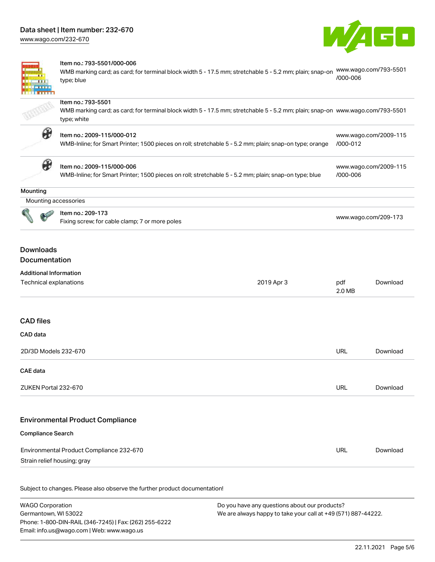[www.wago.com/232-670](http://www.wago.com/232-670)



|                                                                                              | Item no.: 793-5501/000-006<br>www.wago.com/793-5501<br>WMB marking card; as card; for terminal block width 5 - 17.5 mm; stretchable 5 - 5.2 mm; plain; snap-on<br>/000-006<br>type; blue |               |                       |  |  |  |
|----------------------------------------------------------------------------------------------|------------------------------------------------------------------------------------------------------------------------------------------------------------------------------------------|---------------|-----------------------|--|--|--|
|                                                                                              | Item no.: 793-5501<br>WMB marking card; as card; for terminal block width 5 - 17.5 mm; stretchable 5 - 5.2 mm; plain; snap-on www.wago.com/793-5501<br>type; white                       |               |                       |  |  |  |
| $\bullet$                                                                                    | Item no.: 2009-115/000-012<br>WMB-Inline; for Smart Printer; 1500 pieces on roll; stretchable 5 - 5.2 mm; plain; snap-on type; orange                                                    | /000-012      | www.wago.com/2009-115 |  |  |  |
| ₩                                                                                            | Item no.: 2009-115/000-006<br>WMB-Inline; for Smart Printer; 1500 pieces on roll; stretchable 5 - 5.2 mm; plain; snap-on type; blue                                                      | /000-006      | www.wago.com/2009-115 |  |  |  |
| Mounting                                                                                     |                                                                                                                                                                                          |               |                       |  |  |  |
|                                                                                              | Mounting accessories                                                                                                                                                                     |               |                       |  |  |  |
|                                                                                              | Item no.: 209-173<br>Fixing screw; for cable clamp; 7 or more poles                                                                                                                      |               | www.wago.com/209-173  |  |  |  |
| <b>Downloads</b><br>Documentation<br><b>Additional Information</b><br>Technical explanations | 2019 Apr 3                                                                                                                                                                               | pdf<br>2.0 MB | Download              |  |  |  |
| <b>CAD</b> files<br>CAD data                                                                 |                                                                                                                                                                                          |               |                       |  |  |  |
| 2D/3D Models 232-670                                                                         |                                                                                                                                                                                          | <b>URL</b>    | Download              |  |  |  |
| CAE data                                                                                     |                                                                                                                                                                                          |               |                       |  |  |  |
| ZUKEN Portal 232-670                                                                         |                                                                                                                                                                                          | <b>URL</b>    | Download              |  |  |  |
| <b>Compliance Search</b>                                                                     | <b>Environmental Product Compliance</b>                                                                                                                                                  |               |                       |  |  |  |
|                                                                                              | Environmental Product Compliance 232-670<br>Strain relief housing; gray                                                                                                                  | URL           | Download              |  |  |  |
|                                                                                              | Subject to changes. Please also observe the further product documentation!                                                                                                               |               |                       |  |  |  |

WAGO Corporation Germantown, WI 53022 Phone: 1-800-DIN-RAIL (346-7245) | Fax: (262) 255-6222 Email: info.us@wago.com | Web: www.wago.us Do you have any questions about our products? We are always happy to take your call at +49 (571) 887-44222.